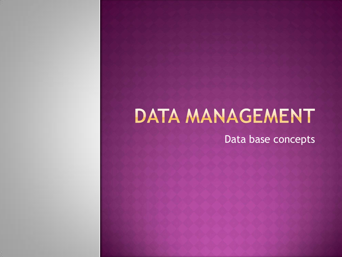# DATA MANAGEMENT

Data base concepts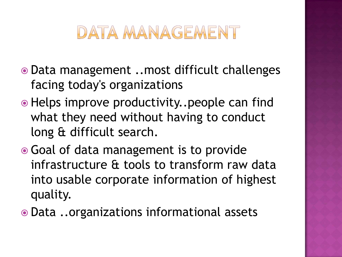### DATA MANAGEMENT

- Data management ..most difficult challenges facing today's organizations
- Helps improve productivity..people can find what they need without having to conduct long & difficult search.
- Goal of data management is to provide infrastructure & tools to transform raw data into usable corporate information of highest quality.
- Data ..organizations informational assets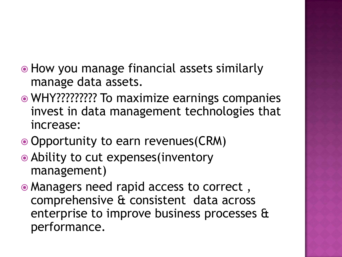- How you manage financial assets similarly manage data assets.
- WHY????????? To maximize earnings companies invest in data management technologies that increase:
- Opportunity to earn revenues(CRM)
- Ability to cut expenses(inventory management)
- Managers need rapid access to correct , comprehensive & consistent data across enterprise to improve business processes & performance.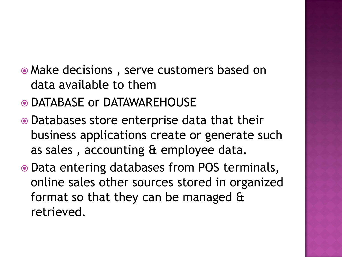- Make decisions , serve customers based on data available to them
- DATABASE or DATAWAREHOUSE
- Databases store enterprise data that their business applications create or generate such as sales , accounting & employee data.
- Data entering databases from POS terminals, online sales other sources stored in organized format so that they can be managed & retrieved.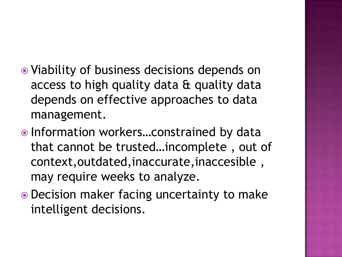- Viability of business decisions depends on access to high quality data & quality data depends on effective approaches to data management.
- Information workers...constrained by data that cannot be trusted…incomplete , out of context,outdated,inaccurate,inaccesible , may require weeks to analyze.
- Decision maker facing uncertainty to make intelligent decisions.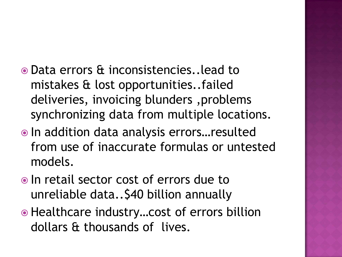- Data errors & inconsistencies..lead to mistakes & lost opportunities..failed deliveries, invoicing blunders ,problems synchronizing data from multiple locations.
- In addition data analysis errors…resulted from use of inaccurate formulas or untested models.
- In retail sector cost of errors due to unreliable data..\$40 billion annually
- Healthcare industry... cost of errors billion dollars & thousands of lives.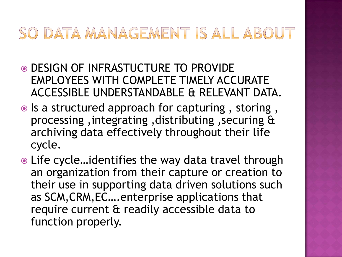### SO DATA MANAGEMENT IS ALL ABOUT

- DESIGN OF INFRASTUCTURE TO PROVIDE EMPLOYEES WITH COMPLETE TIMELY ACCURATE ACCESSIBLE UNDERSTANDABLE & RELEVANT DATA.
- $\bullet$  Is a structured approach for capturing, storing, processing ,integrating ,distributing ,securing & archiving data effectively throughout their life cycle.
- Life cycle…identifies the way data travel through an organization from their capture or creation to their use in supporting data driven solutions such as SCM,CRM,EC….enterprise applications that require current & readily accessible data to function properly.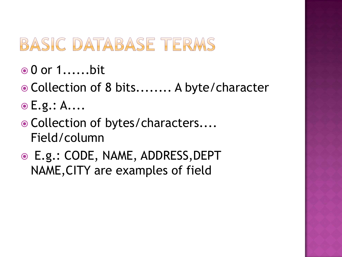### BASIC DATABASE TERMS

- **⊙ 0 or 1......bit**
- Collection of 8 bits........ A byte/character
- **E.g.: A....**
- Collection of bytes/characters.... Field/column
- E.g.: CODE, NAME, ADDRESS,DEPT NAME,CITY are examples of field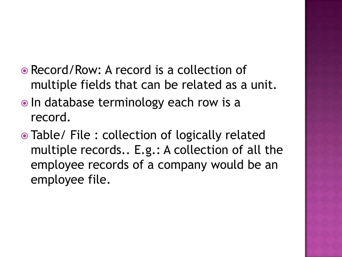- Record/Row: A record is a collection of multiple fields that can be related as a unit.
- In database terminology each row is a record.
- Table/ File : collection of logically related multiple records.. E.g.: A collection of all the employee records of a company would be an employee file.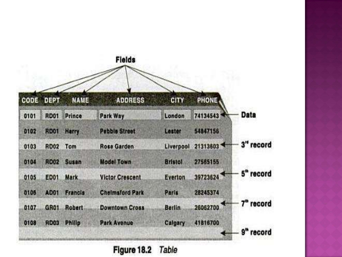

Figure 18.2

Table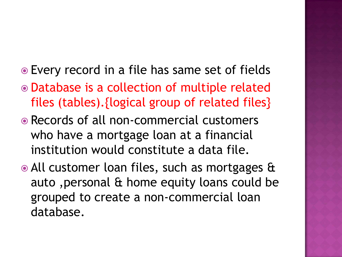- Every record in a file has same set of fields
- Database is a collection of multiple related files (tables).{logical group of related files}
- Records of all non-commercial customers who have a mortgage loan at a financial institution would constitute a data file.
- All customer loan files, such as mortgages & auto ,personal & home equity loans could be grouped to create a non-commercial loan database.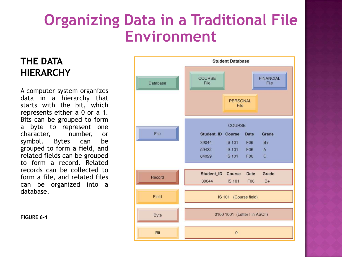### **Organizing Data in a Traditional File Environment**

#### **THE DATA HIERARCHY**

A computer system organizes data in a hierarchy that starts with the bit, which represents either a 0 or a 1. Bits can be grouped to form a byte to represent one character, number, or symbol. Bytes can be grouped to form a field, and related fields can be grouped to form a record. Related records can be collected to form a file, and related files can be organized into a database.

**FIGURE 6-1**

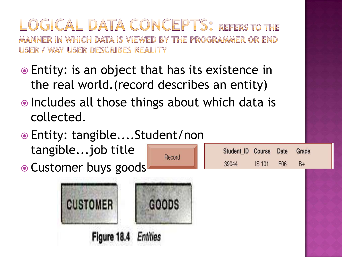OGICAL DATA CONCEPTS? REFERS TO THE MANNER IN WHICH DATA IS VIEWED BY THE PROGRAMMER OR END USER / WAY USER DESCRIBES REALITY

- Entity: is an object that has its existence in the real world.(record describes an entity)
- Includes all those things about which data is collected.

Record

 Entity: tangible....Student/non tangible...job title

• Customer buys goods



| Student ID Course Date Grade |        |                 |    |  |
|------------------------------|--------|-----------------|----|--|
| 39044                        | IS 101 | F <sub>06</sub> | B+ |  |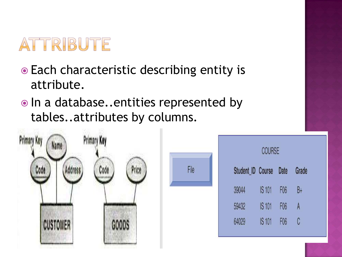

- Each characteristic describing entity is attribute.
- $\bullet$  In a database..entities represented by tables..attributes by columns.

File



| <b>COURSE</b>     |               |                 |       |  |
|-------------------|---------------|-----------------|-------|--|
| Student ID Course |               | Date            | Grade |  |
| 39044             | <b>IS 101</b> | F <sub>06</sub> | B+    |  |
| 59432             | <b>IS 101</b> | F <sub>06</sub> | A     |  |
| 64029             | <b>IS101</b>  | F <sub>06</sub> | C     |  |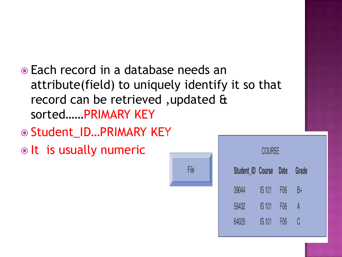- Each record in a database needs an attribute(field) to uniquely identify it so that record can be retrieved ,updated & sorted……PRIMARY KEY
- ◎ Student\_ID...PRIMARY KEY

 $\bullet$  It is usually numeric



**COURSE** 

| Student ID Course |               | Date            | Grade |
|-------------------|---------------|-----------------|-------|
| 39044             | <b>IS 101</b> | F <sub>06</sub> | B+    |
| 59432             | <b>IS 101</b> | F <sub>06</sub> | A     |
| 64029             | <b>IS 101</b> | F <sub>06</sub> | C     |
|                   |               |                 |       |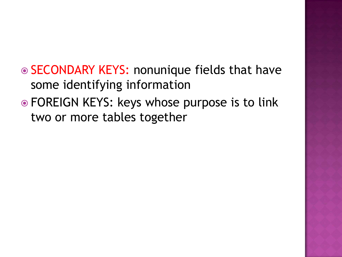**◎ SECONDARY KEYS: nonunique fields that have** some identifying information

 FOREIGN KEYS: keys whose purpose is to link two or more tables together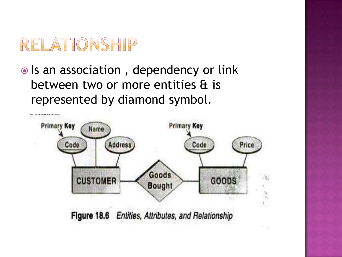### RELATIONSHIP

• Is an association, dependency or link between two or more entities & is represented by diamond symbol.

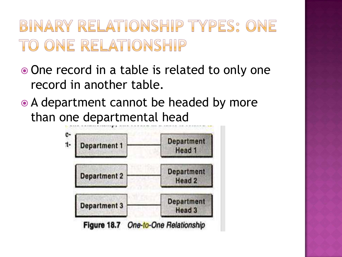### BINARY RELATIONSHIP TYPES: ONE TO ONE RELATIONSHIP

- One record in a table is related to only one record in another table.
- A department cannot be headed by more than one departmental head

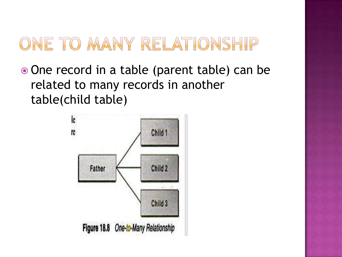### ONE TO MANY RELATIONSHIP

• One record in a table (parent table) can be related to many records in another table(child table)

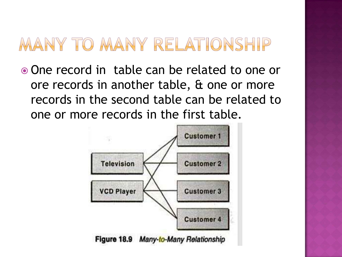### MANY TO MANY RELATIONSHIP

 One record in table can be related to one or ore records in another table, & one or more records in the second table can be related to one or more records in the first table.



Figure 18.9 Many-to-Many Relationship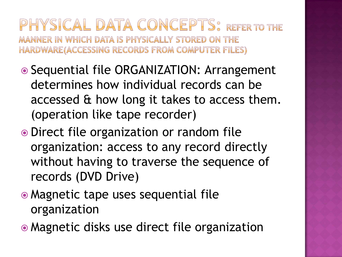### PHYSICAL DATA CONCEPTS: REFER TO THE MANNER IN WHICH DATA IS PHYSICALLY STORED ON THE HARDWARE(ACCESSING RECORDS FROM COMPUTER FILES)

- Sequential file ORGANIZATION: Arrangement determines how individual records can be accessed & how long it takes to access them. (operation like tape recorder)
- Direct file organization or random file organization: access to any record directly without having to traverse the sequence of records (DVD Drive)
- Magnetic tape uses sequential file organization
- Magnetic disks use direct file organization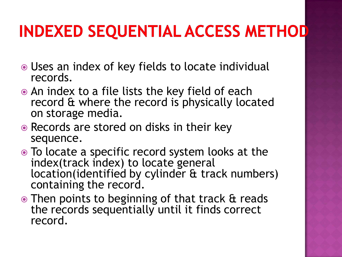# **INDEXED SEQUENTIAL ACCESS METHOD**

- Uses an index of key fields to locate individual records.
- An index to a file lists the key field of each record & where the record is physically located on storage media.
- Records are stored on disks in their key sequence.
- To locate a specific record system looks at the index(track index) to locate general location(identified by cylinder & track numbers) containing the record.
- Then points to beginning of that track & reads the records sequentially until it finds correct record.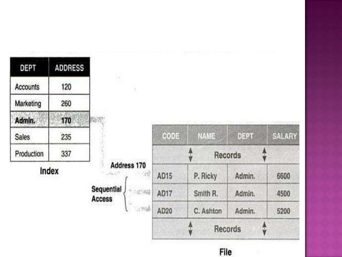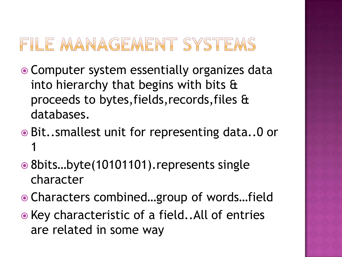### FILE MANAGEMENT SYSTEMS

- Computer system essentially organizes data into hierarchy that begins with bits & proceeds to bytes,fields,records,files & databases.
- Bit..smallest unit for representing data..0 or 1
- 8bits…byte(10101101).represents single character
- Characters combined…group of words…field
- Key characteristic of a field..All of entries are related in some way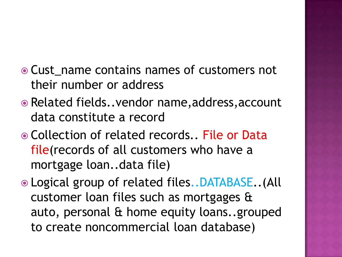- Cust name contains names of customers not their number or address
- Related fields..vendor name,address,account data constitute a record
- Collection of related records.. File or Data file(records of all customers who have a mortgage loan..data file)
- Logical group of related files..DATABASE..(All customer loan files such as mortgages & auto, personal & home equity loans..grouped to create noncommercial loan database)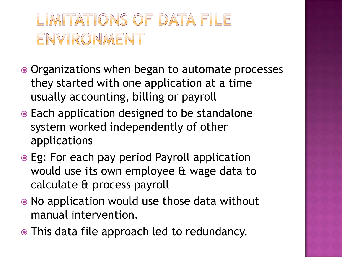- Organizations when began to automate processes they started with one application at a time usually accounting, billing or payroll
- Each application designed to be standalone system worked independently of other applications
- Eg: For each pay period Payroll application would use its own employee & wage data to calculate & process payroll
- No application would use those data without manual intervention.
- This data file approach led to redundancy.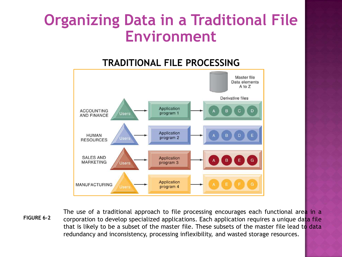### **Organizing Data in a Traditional File Environment**

#### **TRADITIONAL FILE PROCESSING**



**FIGURE 6-2**

The use of a traditional approach to file processing encourages each functional area in a corporation to develop specialized applications. Each application requires a unique data file that is likely to be a subset of the master file. These subsets of the master file lead to data redundancy and inconsistency, processing inflexibility, and wasted storage resources.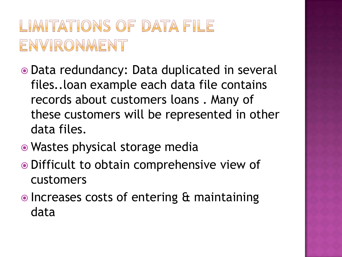- Data redundancy: Data duplicated in several files..loan example each data file contains records about customers loans . Many of these customers will be represented in other data files.
- Wastes physical storage media
- Difficult to obtain comprehensive view of customers
- Increases costs of entering & maintaining data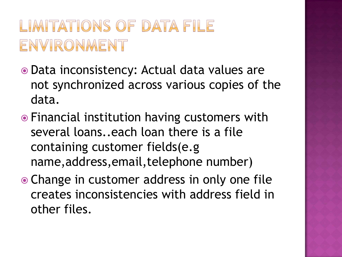- Data inconsistency: Actual data values are not synchronized across various copies of the data.
- Financial institution having customers with several loans..each loan there is a file containing customer fields(e.g name,address,email,telephone number)
- Change in customer address in only one file creates inconsistencies with address field in other files.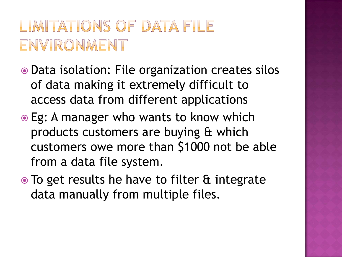- Data isolation: File organization creates silos of data making it extremely difficult to access data from different applications
- Eg: A manager who wants to know which products customers are buying & which customers owe more than \$1000 not be able from a data file system.
- To get results he have to filter & integrate data manually from multiple files.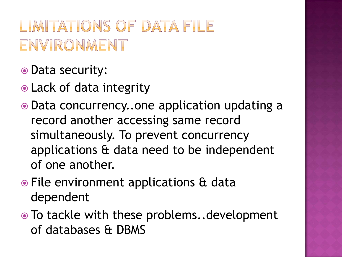- Data security:
- Lack of data integrity
- Data concurrency..one application updating a record another accessing same record simultaneously. To prevent concurrency applications & data need to be independent of one another.
- File environment applications & data dependent
- To tackle with these problems..development of databases & DBMS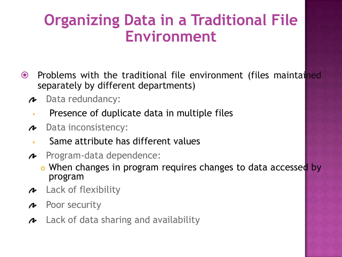### **Organizing Data in a Traditional File Environment**

- **•** Problems with the traditional file environment (files maintained separately by different departments)
	- Data redundancy: v
		- Presence of duplicate data in multiple files
	- Data inconsistency: v
		- Same attribute has different values
	- Program-data dependence: N
		- o When changes in program requires changes to data accessed by program
	- Lack of flexibility v
	- Poor security N
	- $\sim$  Lack of data sharing and availability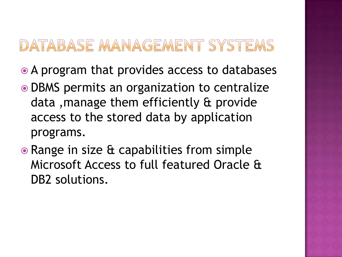### DATABASE MANAGEMENT SYSTEMS

- A program that provides access to databases
- DBMS permits an organization to centralize data ,manage them efficiently & provide access to the stored data by application programs.
- Range in size & capabilities from simple Microsoft Access to full featured Oracle & DB2 solutions.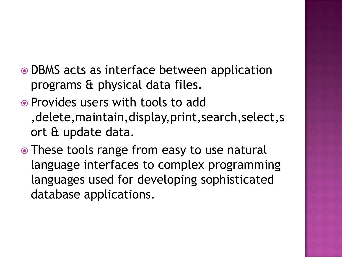- DBMS acts as interface between application programs & physical data files.
- Provides users with tools to add ,delete,maintain,display,print,search,select,s ort & update data.
- These tools range from easy to use natural language interfaces to complex programming languages used for developing sophisticated database applications.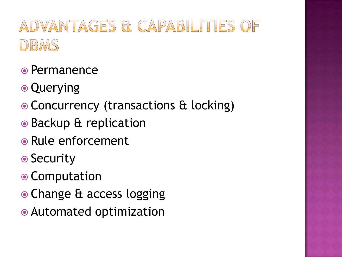# ADVANTAGES & CAPABILITIES OF DBMS

- Permanence
- Querying
- Concurrency (transactions & locking)
- Backup & replication
- Rule enforcement
- **◎ Security**
- Computation
- Change & access logging
- Automated optimization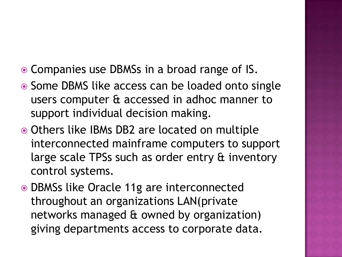- Companies use DBMSs in a broad range of IS.
- Some DBMS like access can be loaded onto single users computer & accessed in adhoc manner to support individual decision making.
- Others like IBMs DB2 are located on multiple interconnected mainframe computers to support large scale TPSs such as order entry & inventory control systems.
- DBMSs like Oracle 11g are interconnected throughout an organizations LAN(private networks managed & owned by organization) giving departments access to corporate data.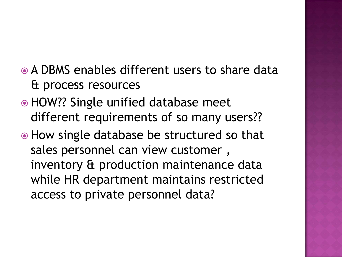- A DBMS enables different users to share data & process resources
- HOW?? Single unified database meet different requirements of so many users??
- How single database be structured so that sales personnel can view customer , inventory & production maintenance data while HR department maintains restricted access to private personnel data?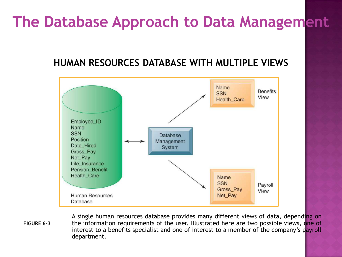#### **HUMAN RESOURCES DATABASE WITH MULTIPLE VIEWS**



A single human resources database provides many different views of data, depending on the information requirements of the user. Illustrated here are two possible views, one of interest to a benefits specialist and one of interest to a member of the company's payroll department. **FIGURE 6-3**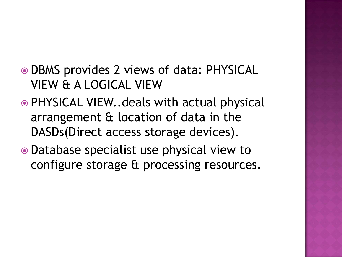- DBMS provides 2 views of data: PHYSICAL VIEW & A LOGICAL VIEW
- PHYSICAL VIEW..deals with actual physical arrangement & location of data in the DASDs(Direct access storage devices).
- Database specialist use physical view to configure storage & processing resources.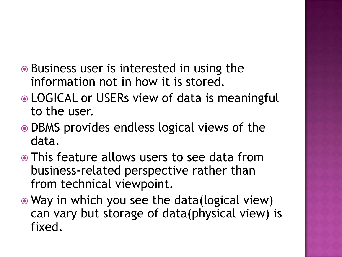- Business user is interested in using the information not in how it is stored.
- LOGICAL or USERs view of data is meaningful to the user.
- DBMS provides endless logical views of the data.
- This feature allows users to see data from business-related perspective rather than from technical viewpoint.
- Way in which you see the data(logical view) can vary but storage of data(physical view) is fixed.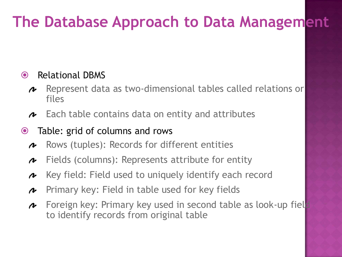#### • Relational DBMS

- Represent data as two-dimensional tables called relations or N files
- Each table contains data on entity and attributes s

#### Table: grid of columns and rows

- Rows (tuples): Records for different entities  $\boldsymbol{\Lambda}$
- Fields (columns): Represents attribute for entity N
- Key field: Field used to uniquely identify each record  $\boldsymbol{\Lambda}$
- Primary key: Field in table used for key fields N
- Foreign key: Primary key used in second table as look-up field  $\rightarrow$ to identify records from original table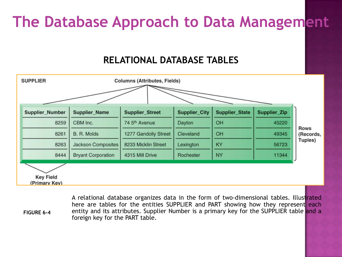#### **RELATIONAL DATABASE TABLES**



A relational database organizes data in the form of two-dimensional tables. Illustrated here are tables for the entities SUPPLIER and PART showing how they represent each entity and its attributes. Supplier Number is a primary key for the SUPPLIER table and a foreign key for the PART table. **FIGURE 6-4**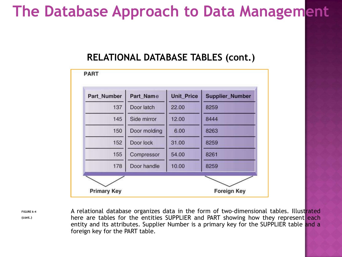#### **RELATIONAL DATABASE TABLES (cont.)**



**FIGURE 6-4 (cont.)**

A relational database organizes data in the form of two-dimensional tables. Illustrated here are tables for the entities SUPPLIER and PART showing how they represent each entity and its attributes. Supplier Number is a primary key for the SUPPLIER table and a foreign key for the PART table.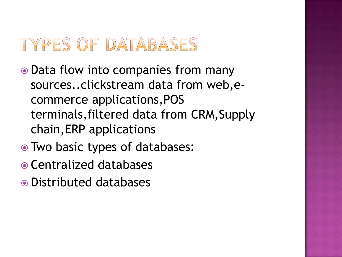## TYPES OF DATABASES

- Data flow into companies from many sources..clickstream data from web,ecommerce applications,POS terminals,filtered data from CRM,Supply chain,ERP applications
- Two basic types of databases:
- Centralized databases
- Distributed databases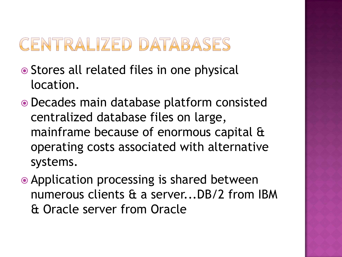### **CENTRALIZED DATABASES**

- Stores all related files in one physical location.
- Decades main database platform consisted centralized database files on large, mainframe because of enormous capital & operating costs associated with alternative systems.
- Application processing is shared between numerous clients & a server...DB/2 from IBM & Oracle server from Oracle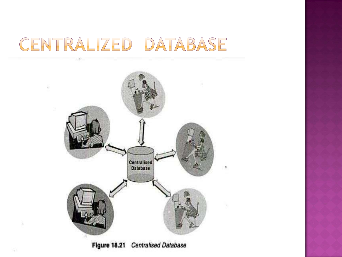### CENTRALIZED DATABASE



Figure 18.21 Centralised Database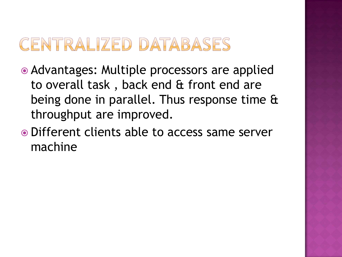### **CENTRALIZED DATABASES**

- Advantages: Multiple processors are applied to overall task , back end & front end are being done in parallel. Thus response time & throughput are improved.
- Different clients able to access same server machine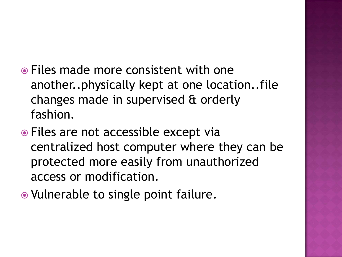- Files made more consistent with one another..physically kept at one location..file changes made in supervised & orderly fashion.
- Files are not accessible except via centralized host computer where they can be protected more easily from unauthorized access or modification.
- Vulnerable to single point failure.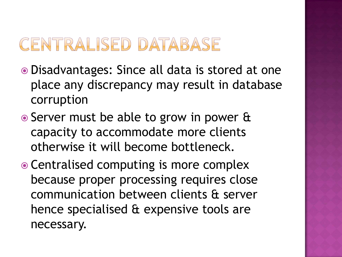### **CENTRALISED DATABASE**

- Disadvantages: Since all data is stored at one place any discrepancy may result in database corruption
- Server must be able to grow in power & capacity to accommodate more clients otherwise it will become bottleneck.
- Centralised computing is more complex because proper processing requires close communication between clients & server hence specialised & expensive tools are necessary.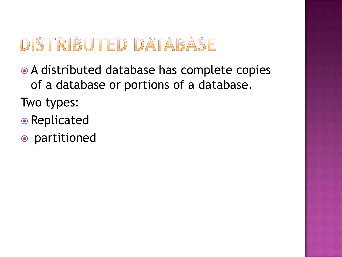- A distributed database has complete copies of a database or portions of a database.
- Two types:
- Replicated
- partitioned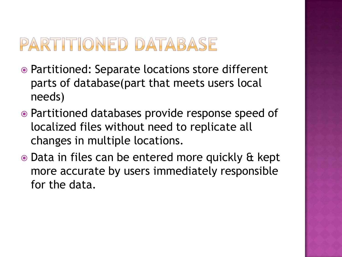### PARTITIONED DATABASE

- Partitioned: Separate locations store different parts of database(part that meets users local needs)
- Partitioned databases provide response speed of localized files without need to replicate all changes in multiple locations.
- Data in files can be entered more quickly & kept more accurate by users immediately responsible for the data.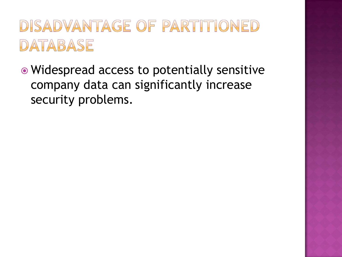### DISADVANTAGE OF PARTITIONED DATABASE

• Widespread access to potentially sensitive company data can significantly increase security problems.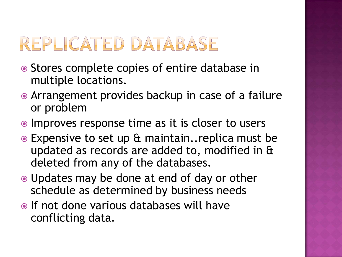# REPLICATED DATABASE

- Stores complete copies of entire database in multiple locations.
- Arrangement provides backup in case of a failure or problem
- Improves response time as it is closer to users
- Expensive to set up & maintain..replica must be updated as records are added to, modified in & deleted from any of the databases.
- Updates may be done at end of day or other schedule as determined by business needs
- If not done various databases will have conflicting data.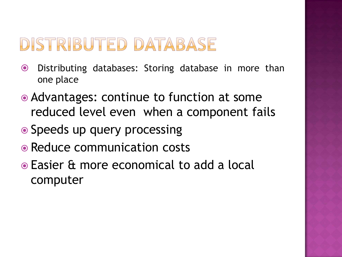- Distributing databases: Storing database in more than one place
- Advantages: continue to function at some reduced level even when a component fails
- Speeds up query processing
- Reduce communication costs
- Easier & more economical to add a local computer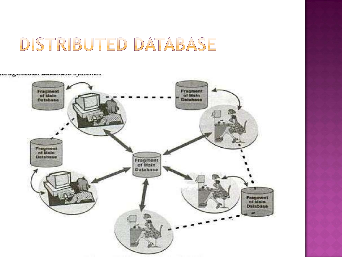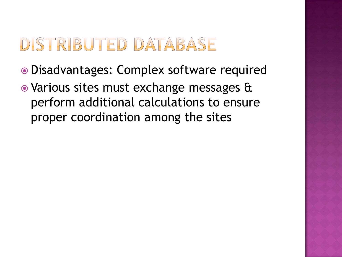- Disadvantages: Complex software required
- Various sites must exchange messages & perform additional calculations to ensure proper coordination among the sites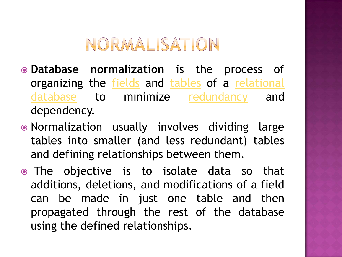### NORMALISATION

- **Database normalization** is the process of organizing the **[fields](http://en.wikipedia.org/wiki/Field_(computer_science))** and [tables](http://en.wikipedia.org/wiki/Table_(database)) of a [relational](http://en.wikipedia.org/wiki/Relational_database) [database](http://en.wikipedia.org/wiki/Relational_database) to minimize [redundancy](http://en.wikipedia.org/wiki/Data_redundancy) and dependency.
- Normalization usually involves dividing large tables into smaller (and less redundant) tables and defining relationships between them.
- The objective is to isolate data so that additions, deletions, and modifications of a field can be made in just one table and then propagated through the rest of the database using the defined relationships.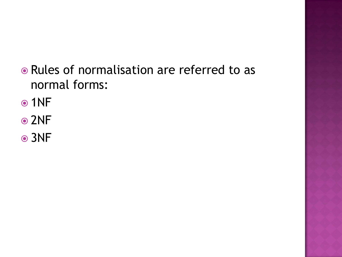- Rules of normalisation are referred to as normal forms:
- ⊙1NF
- **⊙2NF**
- 3NF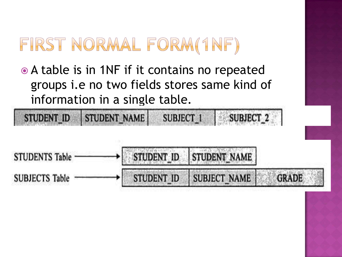# FIRST NORMAL FORM(1NF)

STUDENT NAME

**STUDENT ID** 

 A table is in 1NF if it contains no repeated groups i.e no two fields stores same kind of information in a single table.

STUDENT\_ID **STUDENT NAME STUDENTS Table STUDENT ID SUBJECT NAME GRADE SUBJECTS Table** 

**SUBJECT 1** 

**SUBJECT 2**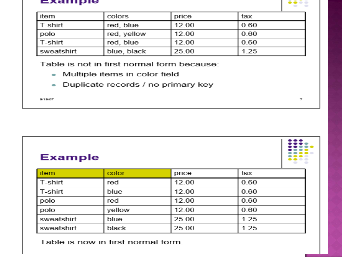#### Example



| l item     | colors      | price | tax  |
|------------|-------------|-------|------|
| l T-shirt  | red, blue   | 12.00 | 0.60 |
| polo       | red, yellow | 12.00 | 0.60 |
| l T-shirt  | red, blue   | 12.00 | 0.60 |
| sweatshirt | blue, black | 25.00 | 1.25 |

Table is not in first normal form because:

- Multiple items in color field  $\sim$
- Duplicate records / no primary key  $\bullet$

9/19/07

| <b>Example</b> |
|----------------|
|----------------|



| <b>item</b> | color  | price | tax  |
|-------------|--------|-------|------|
| l T-shirt   | red    | 12.00 | 0.60 |
| l T-shirt   | blue   | 12.00 | 0.60 |
| polo        | red    | 12.00 | 0.60 |
| polo        | yellow | 12.00 | 0.60 |
| sweatshirt  | blue   | 25.00 | 1.25 |
| sweatshirt  | black  | 25.00 | 1.25 |

Table is now in first normal form.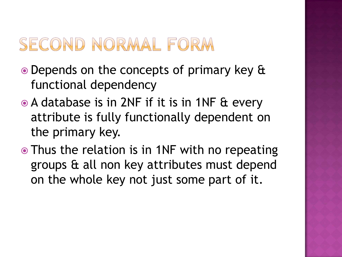### SECOND NORMAL FORM

- Depends on the concepts of primary key & functional dependency
- **A database is in 2NF if it is in 1NF & every** attribute is fully functionally dependent on the primary key.
- Thus the relation is in 1NF with no repeating groups & all non key attributes must depend on the whole key not just some part of it.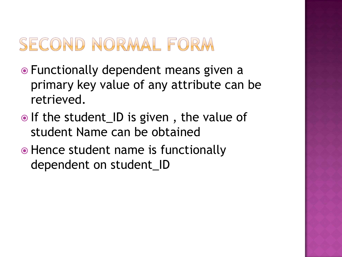### SECOND NORMAL FORM

- Functionally dependent means given a primary key value of any attribute can be retrieved.
- $\bullet$  If the student\_ID is given, the value of student Name can be obtained
- Hence student name is functionally dependent on student\_ID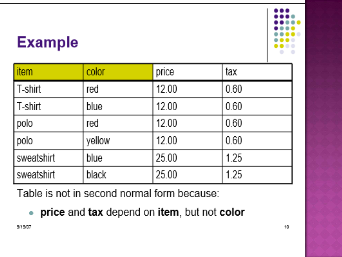

### **Example**

| item       | color  | price | tax  |
|------------|--------|-------|------|
| T-shirt    | red    | 12.00 | 0.60 |
| T-shirt    | blue   | 12.00 | 0.60 |
| polo       | red    | 12.00 | 0.60 |
| polo       | yellow | 12.00 | 0.60 |
| sweatshirt | blue   | 25.00 | 1.25 |
| sweatshirt | black  | 25.00 | 1.25 |

Table is not in second normal form because:

price and tax depend on item, but not color  $\bullet$  .

9/19/07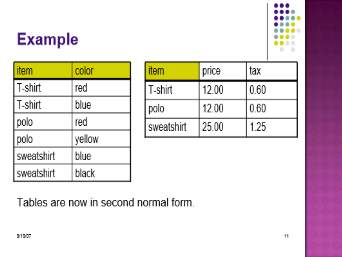# **Example**



| item       | color  |
|------------|--------|
| T-shirt    | red    |
| T-shirt    | blue   |
| polo       | red    |
| polo       | yellow |
| sweatshirt | blue   |
| sweatshirt | black  |

| item       | price | tax  |
|------------|-------|------|
| T-shirt    | 1200  | 0.60 |
| polo       | 1200  | 0.60 |
| sweatshirt | 25.00 | 1 25 |

Tables are now in second normal form.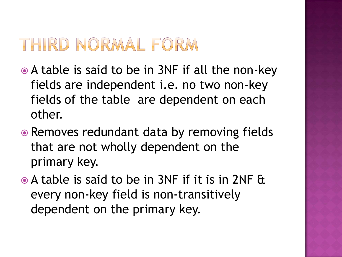### THIRD NORMAL FORM

- A table is said to be in 3NF if all the non-key fields are independent i.e. no two non-key fields of the table are dependent on each other.
- Removes redundant data by removing fields that are not wholly dependent on the primary key.
- A table is said to be in 3NF if it is in 2NF & every non-key field is non-transitively dependent on the primary key.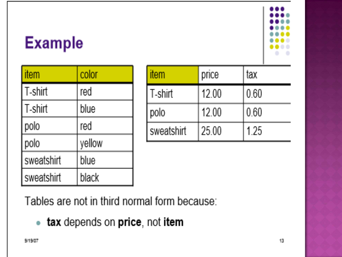

# **Example**

| item       | color  |
|------------|--------|
| T-shirt    | red    |
| T-shirt    | blue   |
| polo       | red    |
| polo       | vellow |
| sweatshirt | blue   |
| sweatshirt | black  |

| item       | price | tax  |
|------------|-------|------|
| T-shirt    | 1200  | 0.60 |
| polo       | 1200  | 0.60 |
| sweatshirt | 25.00 | 125  |

Tables are not in third normal form because:

• tax depends on price, not item